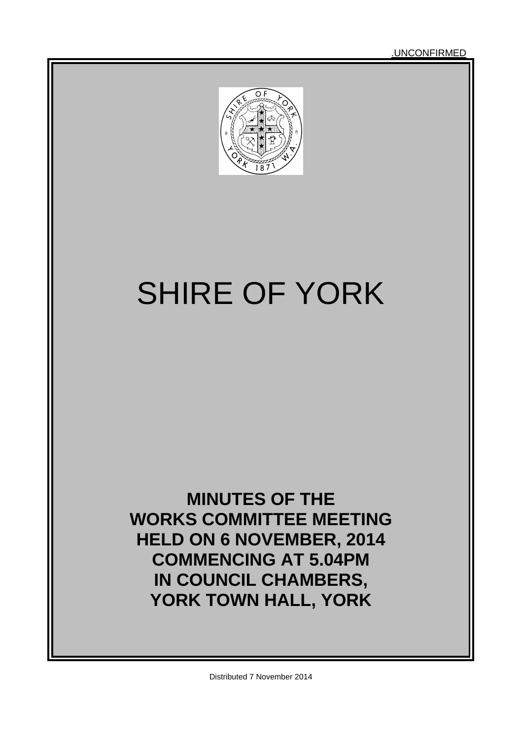.UNCONFIRMED



# SHIRE OF YORK

### **MINUTES OF THE WORKS COMMITTEE MEETING HELD ON 6 NOVEMBER, 2014 COMMENCING AT 5.04PM IN COUNCIL CHAMBERS, YORK TOWN HALL, YORK**

Distributed 7 November 2014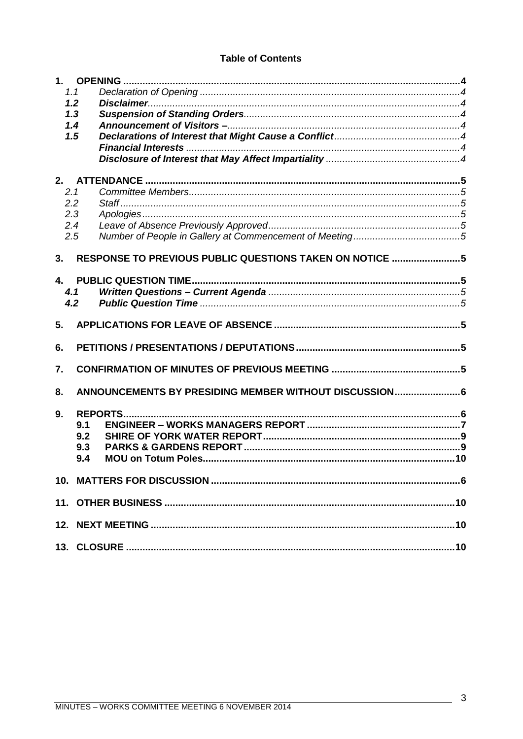#### **Table of Contents**

|     | 1.1 |                                                         |  |
|-----|-----|---------------------------------------------------------|--|
|     | 1.2 |                                                         |  |
|     | 1.3 |                                                         |  |
|     | 1.4 |                                                         |  |
|     | 1.5 |                                                         |  |
|     |     |                                                         |  |
|     |     |                                                         |  |
| 2.  |     |                                                         |  |
| 2.1 |     |                                                         |  |
|     | 2.2 |                                                         |  |
|     | 2.3 |                                                         |  |
|     | 2.4 |                                                         |  |
|     | 2.5 |                                                         |  |
|     |     |                                                         |  |
| 3.  |     | RESPONSE TO PREVIOUS PUBLIC QUESTIONS TAKEN ON NOTICE 5 |  |
| 4.  |     |                                                         |  |
|     | 4.1 |                                                         |  |
|     | 4.2 |                                                         |  |
|     |     |                                                         |  |
| 5.  |     |                                                         |  |
|     |     |                                                         |  |
| 6.  |     |                                                         |  |
|     |     |                                                         |  |
| 7.  |     |                                                         |  |
|     |     |                                                         |  |
| 8.  |     | ANNOUNCEMENTS BY PRESIDING MEMBER WITHOUT DISCUSSION6   |  |
| 9.  |     |                                                         |  |
|     | 9.1 |                                                         |  |
|     | 9.2 |                                                         |  |
|     | 9.3 |                                                         |  |
|     | 9.4 |                                                         |  |
|     |     |                                                         |  |
|     |     |                                                         |  |
|     |     |                                                         |  |
|     |     |                                                         |  |
|     |     |                                                         |  |
|     |     |                                                         |  |
|     |     |                                                         |  |

 $\mathbb{R}^2$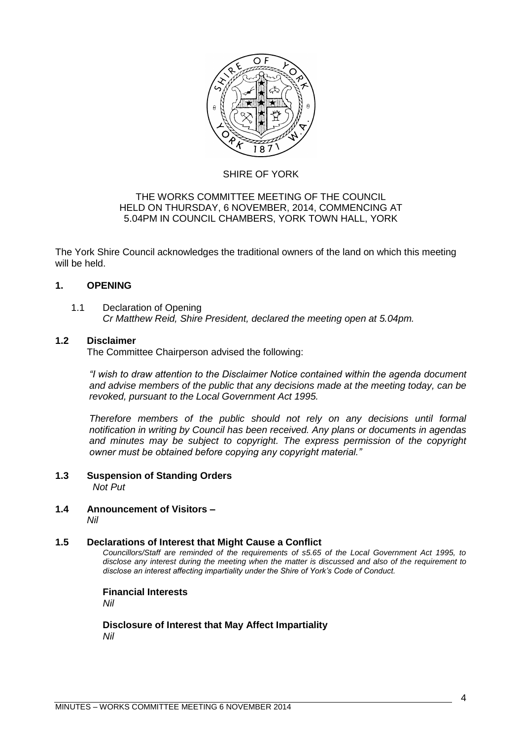

#### SHIRE OF YORK

#### THE WORKS COMMITTEE MEETING OF THE COUNCIL HELD ON THURSDAY, 6 NOVEMBER, 2014, COMMENCING AT 5.04PM IN COUNCIL CHAMBERS, YORK TOWN HALL, YORK

The York Shire Council acknowledges the traditional owners of the land on which this meeting will be held.

#### <span id="page-3-0"></span>**1. OPENING**

#### <span id="page-3-1"></span>1.1 Declaration of Opening *Cr Matthew Reid, Shire President, declared the meeting open at 5.04pm.*

#### <span id="page-3-2"></span>**1.2 Disclaimer**

The Committee Chairperson advised the following:

*"I wish to draw attention to the Disclaimer Notice contained within the agenda document and advise members of the public that any decisions made at the meeting today, can be revoked, pursuant to the Local Government Act 1995.* 

*Therefore members of the public should not rely on any decisions until formal notification in writing by Council has been received. Any plans or documents in agendas and minutes may be subject to copyright. The express permission of the copyright owner must be obtained before copying any copyright material."*

- <span id="page-3-3"></span>**1.3 Suspension of Standing Orders** *Not Put*
- <span id="page-3-4"></span>**1.4 Announcement of Visitors –** *Nil*

#### <span id="page-3-6"></span><span id="page-3-5"></span>**1.5 Declarations of Interest that Might Cause a Conflict**

*Councillors/Staff are reminded of the requirements of s5.65 of the Local Government Act 1995, to disclose any interest during the meeting when the matter is discussed and also of the requirement to disclose an interest affecting impartiality under the Shire of York's Code of Conduct.*

**Financial Interests**

*Nil*

<span id="page-3-7"></span>**Disclosure of Interest that May Affect Impartiality** *Nil*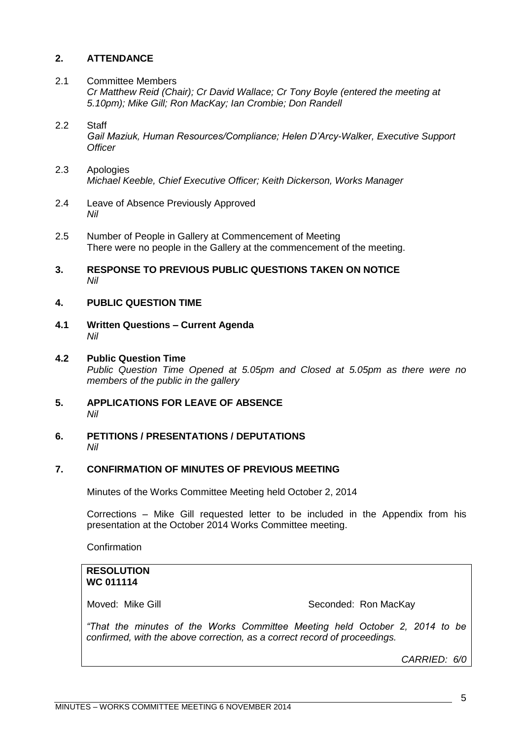#### <span id="page-4-0"></span>**2. ATTENDANCE**

<span id="page-4-1"></span>2.1 Committee Members *Cr Matthew Reid (Chair); Cr David Wallace; Cr Tony Boyle (entered the meeting at 5.10pm); Mike Gill; Ron MacKay; Ian Crombie; Don Randell*

#### <span id="page-4-2"></span>2.2 Staff *Gail Maziuk, Human Resources/Compliance; Helen D'Arcy-Walker, Executive Support Officer*

- <span id="page-4-3"></span>2.3 Apologies *Michael Keeble, Chief Executive Officer; Keith Dickerson, Works Manager*
- <span id="page-4-4"></span>2.4 Leave of Absence Previously Approved *Nil*
- <span id="page-4-5"></span>2.5 Number of People in Gallery at Commencement of Meeting There were no people in the Gallery at the commencement of the meeting.
- <span id="page-4-6"></span>**3. RESPONSE TO PREVIOUS PUBLIC QUESTIONS TAKEN ON NOTICE** *Nil*

#### <span id="page-4-7"></span>**4. PUBLIC QUESTION TIME**

<span id="page-4-8"></span>**4.1 Written Questions – Current Agenda** *Nil*

#### <span id="page-4-9"></span>**4.2 Public Question Time**

*Public Question Time Opened at 5.05pm and Closed at 5.05pm as there were no members of the public in the gallery*

- <span id="page-4-10"></span>**5. APPLICATIONS FOR LEAVE OF ABSENCE**  *Nil*
- <span id="page-4-11"></span>**6. PETITIONS / PRESENTATIONS / DEPUTATIONS** *Nil*

#### <span id="page-4-12"></span>**7. CONFIRMATION OF MINUTES OF PREVIOUS MEETING**

Minutes of the Works Committee Meeting held October 2, 2014

Corrections – Mike Gill requested letter to be included in the Appendix from his presentation at the October 2014 Works Committee meeting.

Confirmation

#### **RESOLUTION WC 011114**

Moved: Mike Gill **Seconded: Ron MacKay** 

*"That the minutes of the Works Committee Meeting held October 2, 2014 to be confirmed, with the above correction, as a correct record of proceedings.*

*CARRIED: 6/0*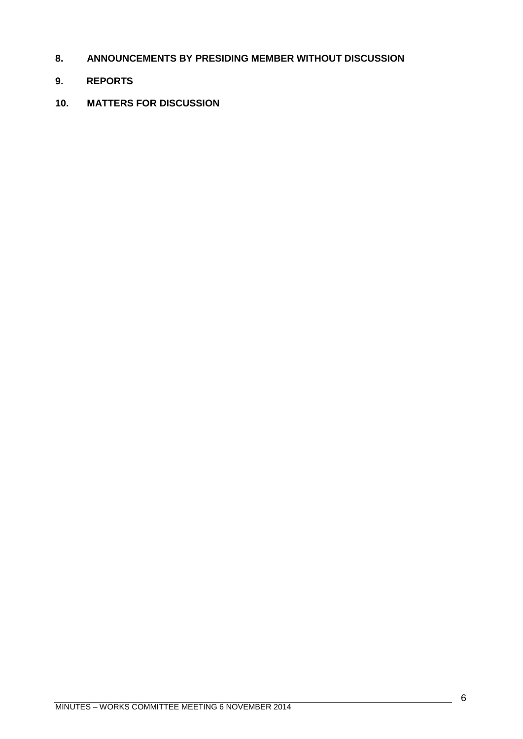- <span id="page-5-0"></span>**8. ANNOUNCEMENTS BY PRESIDING MEMBER WITHOUT DISCUSSION**
- <span id="page-5-1"></span>**9. REPORTS**
- <span id="page-5-2"></span>**10. MATTERS FOR DISCUSSION**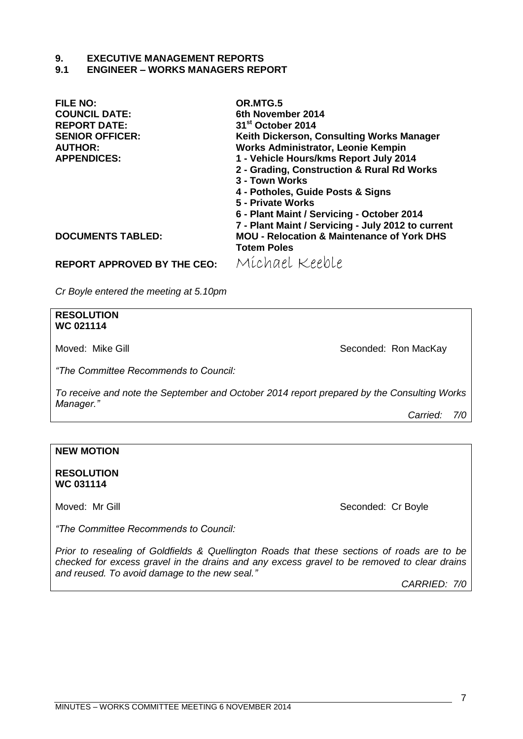#### **9. EXECUTIVE MANAGEMENT REPORTS**

#### <span id="page-6-0"></span>**9.1 ENGINEER – WORKS MANAGERS REPORT**

| <b>FILE NO:</b>          | OR.MTG.5                                              |  |  |
|--------------------------|-------------------------------------------------------|--|--|
| <b>COUNCIL DATE:</b>     | 6th November 2014                                     |  |  |
| <b>REPORT DATE:</b>      | 31 <sup>st</sup> October 2014                         |  |  |
| <b>SENIOR OFFICER:</b>   | Keith Dickerson, Consulting Works Manager             |  |  |
| <b>AUTHOR:</b>           | <b>Works Administrator, Leonie Kempin</b>             |  |  |
| <b>APPENDICES:</b>       | 1 - Vehicle Hours/kms Report July 2014                |  |  |
|                          | 2 - Grading, Construction & Rural Rd Works            |  |  |
|                          | 3 - Town Works                                        |  |  |
|                          | 4 - Potholes, Guide Posts & Signs                     |  |  |
|                          | 5 - Private Works                                     |  |  |
|                          | 6 - Plant Maint / Servicing - October 2014            |  |  |
|                          | 7 - Plant Maint / Servicing - July 2012 to current    |  |  |
| <b>DOCUMENTS TABLED:</b> | <b>MOU - Relocation &amp; Maintenance of York DHS</b> |  |  |
|                          | <b>Totem Poles</b>                                    |  |  |
|                          |                                                       |  |  |

**REPORT APPROVED BY THE CEO:** Michael Keeble

*Cr Boyle entered the meeting at 5.10pm*

#### **RESOLUTION WC 021114**

Moved: Mike Gill **Seconded: Ron MacKay** 

*"The Committee Recommends to Council:*

*To receive and note the September and October 2014 report prepared by the Consulting Works Manager."*

*Carried: 7/0*

#### **NEW MOTION**

**RESOLUTION WC 031114**

Moved: Mr Gill Seconded: Cr Boyle

*"The Committee Recommends to Council:*

*Prior to resealing of Goldfields & Quellington Roads that these sections of roads are to be checked for excess gravel in the drains and any excess gravel to be removed to clear drains and reused. To avoid damage to the new seal."*

*CARRIED: 7/0*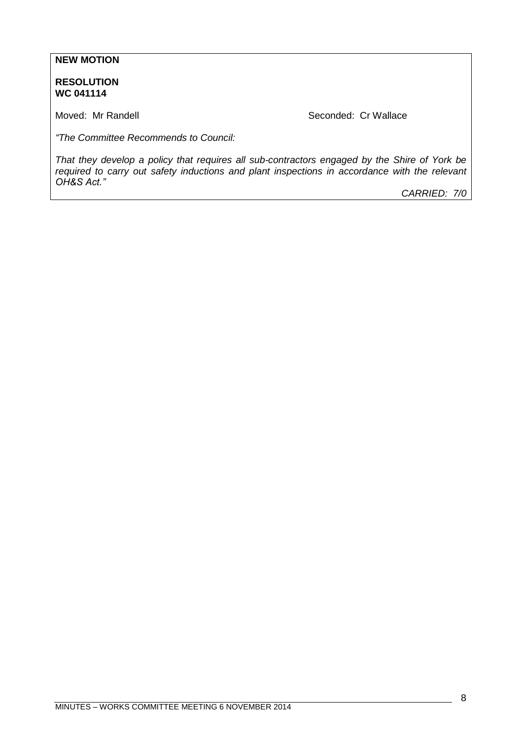#### **NEW MOTION**

**RESOLUTION WC 041114**

Moved: Mr Randell **Seconded: Cr Wallace** Seconded: Cr Wallace

*"The Committee Recommends to Council:*

*That they develop a policy that requires all sub-contractors engaged by the Shire of York be required to carry out safety inductions and plant inspections in accordance with the relevant OH&S Act."*

*CARRIED: 7/0*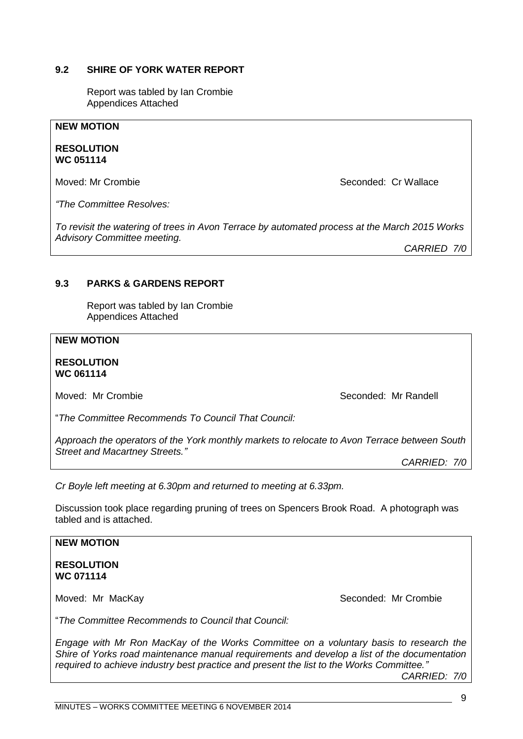## *required to achieve industry best practice and present the list to the Works Committee."*

"*The Committee Recommends to Council that Council:*

#### <span id="page-8-0"></span>**9.2 SHIRE OF YORK WATER REPORT**

Report was tabled by Ian Crombie Appendices Attached

#### **NEW MOTION**

**RESOLUTION WC 051114**

Moved: Mr Crombie **Seconded: Cr Wallace** Seconded: Cr Wallace

*"The Committee Resolves:*

*To revisit the watering of trees in Avon Terrace by automated process at the March 2015 Works* 

*Advisory Committee meeting. CARRIED 7/0*

#### <span id="page-8-1"></span>**9.3 PARKS & GARDENS REPORT**

Report was tabled by Ian Crombie Appendices Attached

#### **NEW MOTION**

**RESOLUTION WC 061114**

Moved: Mr Crombie **Seconded: Mr Randell** Moved: Mr Randell

"*The Committee Recommends To Council That Council:*

*Approach the operators of the York monthly markets to relocate to Avon Terrace between South Street and Macartney Streets."*

*CARRIED: 7/0*

*Cr Boyle left meeting at 6.30pm and returned to meeting at 6.33pm.*

Discussion took place regarding pruning of trees on Spencers Brook Road. A photograph was tabled and is attached.

*Engage with Mr Ron MacKay of the Works Committee on a voluntary basis to research the Shire of Yorks road maintenance manual requirements and develop a list of the documentation* 

#### **NEW MOTION**

**RESOLUTION WC 071114**

Moved: Mr MacKay Seconded: Mr Crombie

*CARRIED: 7/0*